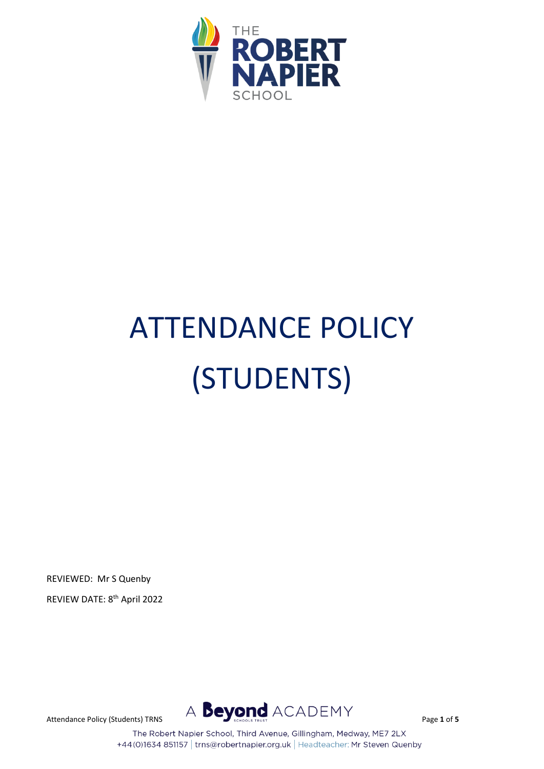

# ATTENDANCE POLICY (STUDENTS)

REVIEWED: Mr S Quenby

REVIEW DATE: 8 th April 2022



The Robert Napier School, Third Avenue, Gillingham, Medway, ME7 2LX +44(0)1634 851157 | trns@robertnapier.org.uk | Headteacher: Mr Steven Quenby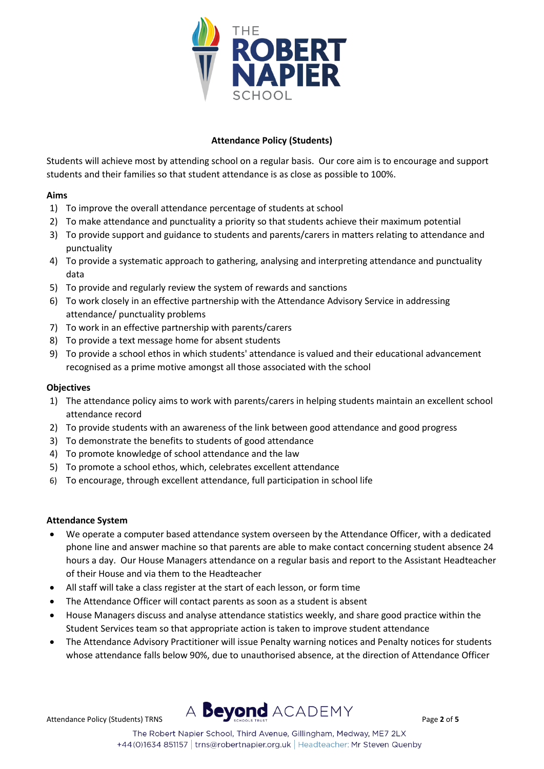

## **Attendance Policy (Students)**

Students will achieve most by attending school on a regular basis. Our core aim is to encourage and support students and their families so that student attendance is as close as possible to 100%.

## **Aims**

- 1) To improve the overall attendance percentage of students at school
- 2) To make attendance and punctuality a priority so that students achieve their maximum potential
- 3) To provide support and guidance to students and parents/carers in matters relating to attendance and punctuality
- 4) To provide a systematic approach to gathering, analysing and interpreting attendance and punctuality data
- 5) To provide and regularly review the system of rewards and sanctions
- 6) To work closely in an effective partnership with the Attendance Advisory Service in addressing attendance/ punctuality problems
- 7) To work in an effective partnership with parents/carers
- 8) To provide a text message home for absent students
- 9) To provide a school ethos in which students' attendance is valued and their educational advancement recognised as a prime motive amongst all those associated with the school

### **Objectives**

- 1) The attendance policy aims to work with parents/carers in helping students maintain an excellent school attendance record
- 2) To provide students with an awareness of the link between good attendance and good progress
- 3) To demonstrate the benefits to students of good attendance
- 4) To promote knowledge of school attendance and the law
- 5) To promote a school ethos, which, celebrates excellent attendance
- 6) To encourage, through excellent attendance, full participation in school life

#### **Attendance System**

- We operate a computer based attendance system overseen by the Attendance Officer, with a dedicated phone line and answer machine so that parents are able to make contact concerning student absence 24 hours a day. Our House Managers attendance on a regular basis and report to the Assistant Headteacher of their House and via them to the Headteacher
- All staff will take a class register at the start of each lesson, or form time
- The Attendance Officer will contact parents as soon as a student is absent
- House Managers discuss and analyse attendance statistics weekly, and share good practice within the Student Services team so that appropriate action is taken to improve student attendance
- The Attendance Advisory Practitioner will issue Penalty warning notices and Penalty notices for students whose attendance falls below 90%, due to unauthorised absence, at the direction of Attendance Officer



The Robert Napier School, Third Avenue, Gillingham, Medway, ME7 2LX +44(0)1634 851157 | trns@robertnapier.org.uk | Headteacher: Mr Steven Quenby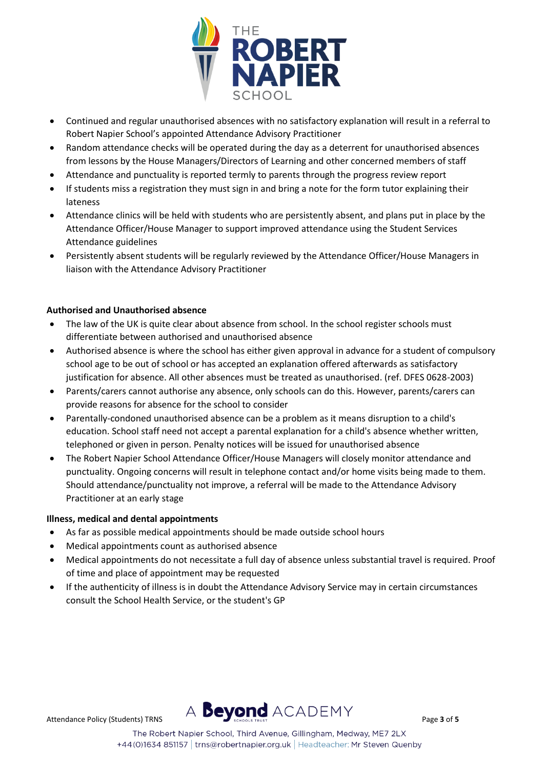

- Continued and regular unauthorised absences with no satisfactory explanation will result in a referral to Robert Napier School's appointed Attendance Advisory Practitioner
- Random attendance checks will be operated during the day as a deterrent for unauthorised absences from lessons by the House Managers/Directors of Learning and other concerned members of staff
- Attendance and punctuality is reported termly to parents through the progress review report
- If students miss a registration they must sign in and bring a note for the form tutor explaining their lateness
- Attendance clinics will be held with students who are persistently absent, and plans put in place by the Attendance Officer/House Manager to support improved attendance using the Student Services Attendance guidelines
- Persistently absent students will be regularly reviewed by the Attendance Officer/House Managers in liaison with the Attendance Advisory Practitioner

## **Authorised and Unauthorised absence**

- The law of the UK is quite clear about absence from school. In the school register schools must differentiate between authorised and unauthorised absence
- Authorised absence is where the school has either given approval in advance for a student of compulsory school age to be out of school or has accepted an explanation offered afterwards as satisfactory justification for absence. All other absences must be treated as unauthorised. (ref. DFES 0628-2003)
- Parents/carers cannot authorise any absence, only schools can do this. However, parents/carers can provide reasons for absence for the school to consider
- Parentally-condoned unauthorised absence can be a problem as it means disruption to a child's education. School staff need not accept a parental explanation for a child's absence whether written, telephoned or given in person. Penalty notices will be issued for unauthorised absence
- The Robert Napier School Attendance Officer/House Managers will closely monitor attendance and punctuality. Ongoing concerns will result in telephone contact and/or home visits being made to them. Should attendance/punctuality not improve, a referral will be made to the Attendance Advisory Practitioner at an early stage

#### **Illness, medical and dental appointments**

- As far as possible medical appointments should be made outside school hours
- Medical appointments count as authorised absence
- Medical appointments do not necessitate a full day of absence unless substantial travel is required. Proof of time and place of appointment may be requested
- If the authenticity of illness is in doubt the Attendance Advisory Service may in certain circumstances consult the School Health Service, or the student's GP

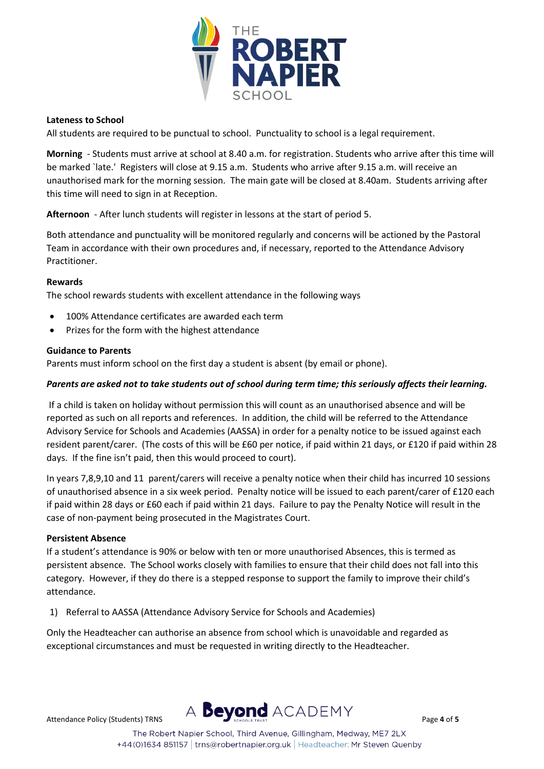

### **Lateness to School**

All students are required to be punctual to school. Punctuality to school is a legal requirement.

**Morning** - Students must arrive at school at 8.40 a.m. for registration. Students who arrive after this time will be marked `late.' Registers will close at 9.15 a.m. Students who arrive after 9.15 a.m. will receive an unauthorised mark for the morning session. The main gate will be closed at 8.40am. Students arriving after this time will need to sign in at Reception.

**Afternoon** - After lunch students will register in lessons at the start of period 5.

Both attendance and punctuality will be monitored regularly and concerns will be actioned by the Pastoral Team in accordance with their own procedures and, if necessary, reported to the Attendance Advisory Practitioner.

#### **Rewards**

The school rewards students with excellent attendance in the following ways

- 100% Attendance certificates are awarded each term
- Prizes for the form with the highest attendance

## **Guidance to Parents**

Parents must inform school on the first day a student is absent (by email or phone).

### *Parents are asked not to take students out of school during term time; this seriously affects their learning.*

If a child is taken on holiday without permission this will count as an unauthorised absence and will be reported as such on all reports and references. In addition, the child will be referred to the Attendance Advisory Service for Schools and Academies (AASSA) in order for a penalty notice to be issued against each resident parent/carer. (The costs of this will be £60 per notice, if paid within 21 days, or £120 if paid within 28 days. If the fine isn't paid, then this would proceed to court).

In years 7,8,9,10 and 11 parent/carers will receive a penalty notice when their child has incurred 10 sessions of unauthorised absence in a six week period. Penalty notice will be issued to each parent/carer of £120 each if paid within 28 days or £60 each if paid within 21 days. Failure to pay the Penalty Notice will result in the case of non-payment being prosecuted in the Magistrates Court.

#### **Persistent Absence**

If a student's attendance is 90% or below with ten or more unauthorised Absences, this is termed as persistent absence. The School works closely with families to ensure that their child does not fall into this category. However, if they do there is a stepped response to support the family to improve their child's attendance.

1) Referral to AASSA (Attendance Advisory Service for Schools and Academies)

Only the Headteacher can authorise an absence from school which is unavoidable and regarded as exceptional circumstances and must be requested in writing directly to the Headteacher.